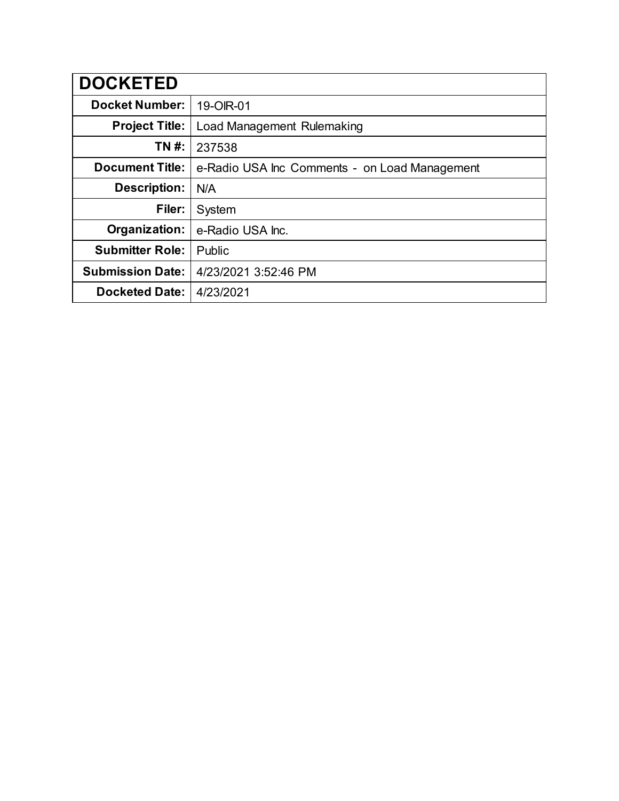| <b>DOCKETED</b>         |                                               |
|-------------------------|-----------------------------------------------|
| <b>Docket Number:</b>   | 19-OIR-01                                     |
| <b>Project Title:</b>   | Load Management Rulemaking                    |
| TN #:                   | 237538                                        |
| <b>Document Title:</b>  | e-Radio USA Inc Comments - on Load Management |
| Description:            | N/A                                           |
| Filer:                  | System                                        |
| Organization:           | e-Radio USA Inc.                              |
| <b>Submitter Role:</b>  | Public                                        |
| <b>Submission Date:</b> | 4/23/2021 3:52:46 PM                          |
| <b>Docketed Date:</b>   | 4/23/2021                                     |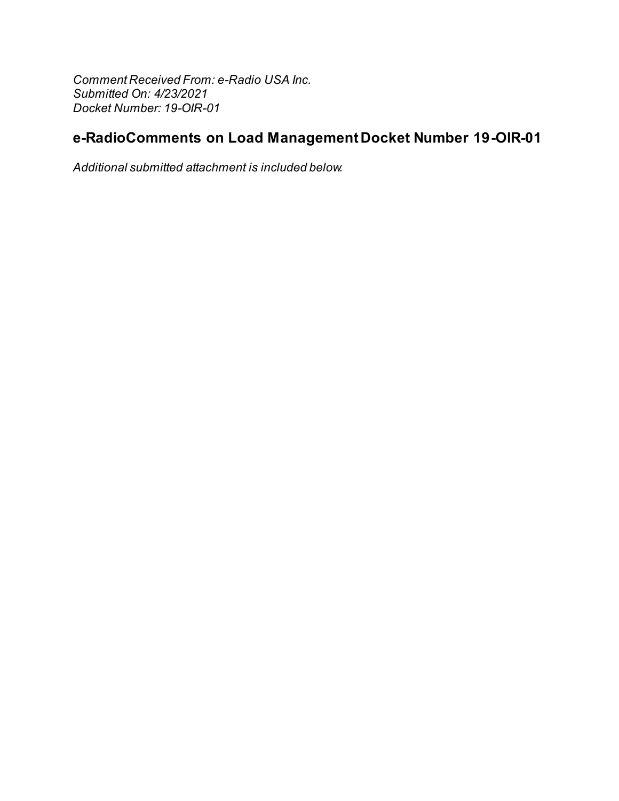Comment Received From: e-Radio USA Inc. Submitted On: 4/23/2021 Docket Number: 19-OIR-01

## e-RadioComments on Load Management Docket Number 19-OIR-01

Additional submitted attachment is included below.